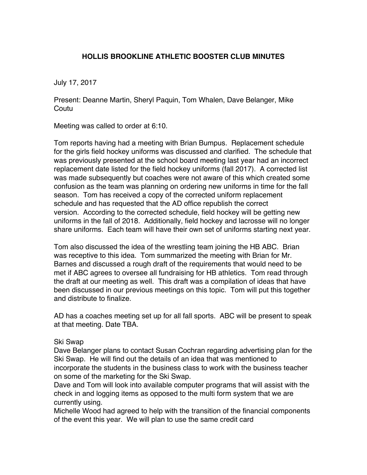## **HOLLIS BROOKLINE ATHLETIC BOOSTER CLUB MINUTES**

July 17, 2017

Present: Deanne Martin, Sheryl Paquin, Tom Whalen, Dave Belanger, Mike Coutu

Meeting was called to order at 6:10.

Tom reports having had a meeting with Brian Bumpus. Replacement schedule for the girls field hockey uniforms was discussed and clarified. The schedule that was previously presented at the school board meeting last year had an incorrect replacement date listed for the field hockey uniforms (fall 2017). A corrected list was made subsequently but coaches were not aware of this which created some confusion as the team was planning on ordering new uniforms in time for the fall season. Tom has received a copy of the corrected uniform replacement schedule and has requested that the AD office republish the correct version. According to the corrected schedule, field hockey will be getting new uniforms in the fall of 2018. Additionally, field hockey and lacrosse will no longer share uniforms. Each team will have their own set of uniforms starting next year.

Tom also discussed the idea of the wrestling team joining the HB ABC. Brian was receptive to this idea. Tom summarized the meeting with Brian for Mr. Barnes and discussed a rough draft of the requirements that would need to be met if ABC agrees to oversee all fundraising for HB athletics. Tom read through the draft at our meeting as well. This draft was a compilation of ideas that have been discussed in our previous meetings on this topic. Tom will put this together and distribute to finalize.

AD has a coaches meeting set up for all fall sports. ABC will be present to speak at that meeting. Date TBA.

## Ski Swap

Dave Belanger plans to contact Susan Cochran regarding advertising plan for the Ski Swap. He will find out the details of an idea that was mentioned to incorporate the students in the business class to work with the business teacher on some of the marketing for the Ski Swap.

Dave and Tom will look into available computer programs that will assist with the check in and logging items as opposed to the multi form system that we are currently using.

Michelle Wood had agreed to help with the transition of the financial components of the event this year. We will plan to use the same credit card